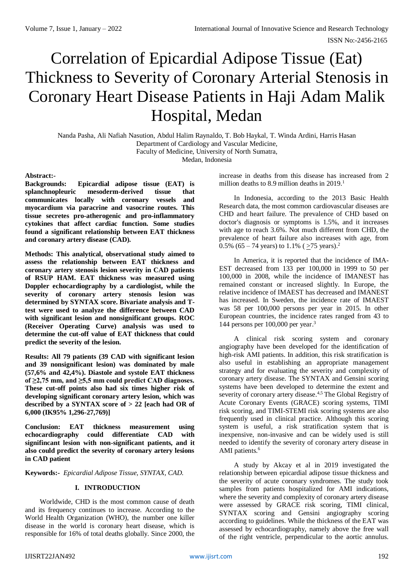# Correlation of Epicardial Adipose Tissue (Eat) Thickness to Severity of Coronary Arterial Stenosis in Coronary Heart Disease Patients in Haji Adam Malik Hospital, Medan

Nanda Pasha, Ali Nafiah Nasution, Abdul Halim Raynaldo, T. Bob Haykal, T. Winda Ardini, Harris Hasan Department of Cardiology and Vascular Medicine, Faculty of Medicine, University of North Sumatra, Medan, Indonesia

## **Abstract:-**

**Backgrounds: Epicardial adipose tissue (EAT) is splanchnopleuric mesoderm-derived tissue that communicates locally with coronary vessels and myocardium via paracrine and vasocrine routes. This tissue secretes pro-atherogenic and pro-inflammatory cytokines that affect cardiac function. Some studies found a significant relationship between EAT thickness and coronary artery disease (CAD).**

**Methods: This analytical, observational study aimed to assess the relationship between EAT thickness and coronary artery stenosis lesion severity in CAD patients of RSUP HAM. EAT thickness was measured using Doppler echocardiography by a cardiologist, while the severity of coronary artery stenosis lesion was determined by SYNTAX score. Bivariate analysis and Ttest were used to analyze the difference between CAD with significant lesion and nonsignificant groups. ROC (Receiver Operating Curve) analysis was used to determine the cut-off value of EAT thickness that could predict the severity of the lesion.**

**Results: All 79 patients (39 CAD with significant lesion and 39 nonsignificant lesion) was dominated by male (57,6% and 42,4%). Diastole and systole EAT thickness of ≥2,75 mm, and ≥5,5 mm could predict CAD diagnoses. These cut-off points also had six times higher risk of developing significant coronary artery lesion, which was described by a SYNTAX score of > 22 [each had OR of 6,000 (IK95% 1,296-27,769)]**

**Conclusion: EAT thickness measurement using echocardiography could differentiate CAD with signifincant lesion with non-significant patients, and it also could predict the severity of coronary artery lesions in CAD patient**

**Keywords:-** *Epicardial Adipose Tissue, SYNTAX, CAD.*

## **I. INTRODUCTION**

Worldwide, CHD is the most common cause of death and its frequency continues to increase. According to the World Health Organization (WHO), the number one killer disease in the world is coronary heart disease, which is responsible for 16% of total deaths globally. Since 2000, the increase in deaths from this disease has increased from 2 million deaths to 8.9 million deaths in 2019. 1

In Indonesia, according to the 2013 Basic Health Research data, the most common cardiovascular diseases are CHD and heart failure. The prevalence of CHD based on doctor's diagnosis or symptoms is 1.5%, and it increases with age to reach 3.6%. Not much different from CHD, the prevalence of heart failure also increases with age, from 0.5% (65 – 74 years) to 1.1% ( $\geq$ 75 years).<sup>2</sup>

In America, it is reported that the incidence of IMA-EST decreased from 133 per 100,000 in 1999 to 50 per 100,000 in 2008, while the incidence of IMANEST has remained constant or increased slightly. In Europe, the relative incidence of IMAEST has decreased and IMANEST has increased. In Sweden, the incidence rate of IMAEST was 58 per 100,000 persons per year in 2015. In other European countries, the incidence rates ranged from 43 to 144 persons per 100,000 per year. 3

A clinical risk scoring system and coronary angiography have been developed for the identification of high-risk AMI patients. In addition, this risk stratification is also useful in establishing an appropriate management strategy and for evaluating the severity and complexity of coronary artery disease. The SYNTAX and Gensini scoring systems have been developed to determine the extent and severity of coronary artery disease.<sup>4,5</sup> The Global Registry of Acute Coronary Events (GRACE) scoring systems, TIMI risk scoring, and TIMI-STEMI risk scoring systems are also frequently used in clinical practice. Although this scoring system is useful, a risk stratification system that is inexpensive, non-invasive and can be widely used is still needed to identify the severity of coronary artery disease in AMI patients. 6

A study by Akcay et al in 2019 investigated the relationship between epicardial adipose tissue thickness and the severity of acute coronary syndromes. The study took samples from patients hospitalized for AMI indications, where the severity and complexity of coronary artery disease were assessed by GRACE risk scoring, TIMI clinical, SYNTAX scoring and Gensini angiography scoring according to guidelines. While the thickness of the EAT was assessed by echocardiography, namely above the free wall of the right ventricle, perpendicular to the aortic annulus.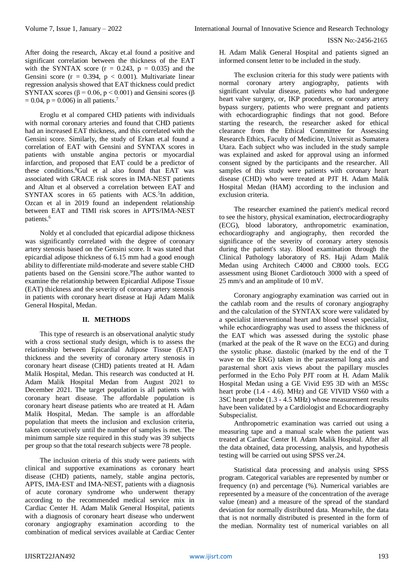After doing the research, Akcay et.al found a positive and significant correlation between the thickness of the EAT with the SYNTAX score  $(r = 0.243, p = 0.035)$  and the Gensini score ( $r = 0.394$ ,  $p < 0.001$ ). Multivariate linear regression analysis showed that EAT thickness could predict SYNTAX scores ( $\beta$  = 0.06, p < 0.001) and Gensini scores ( $\beta$  $= 0.04$ ,  $p = 0.006$ ) in all patients.<sup>7</sup>

Eroglu et al compared CHD patients with individuals with normal coronary arteries and found that CHD patients had an increased EAT thickness, and this correlated with the Gensini score. Similarly, the study of Erkan et.al found a correlation of EAT with Gensini and SYNTAX scores in patients with unstable angina pectoris or myocardial infarction, and proposed that EAT could be a predictor of these conditions. <sup>8</sup>Gul et al also found that EAT was associated with GRACE risk scores in IMA-NEST patients and Altun et al observed a correlation between EAT and SYNTAX scores in 65 patients with ACS.<sup>5</sup>In addition, Ozcan et al in 2019 found an independent relationship between EAT and TIMI risk scores in APTS/IMA-NEST patients. 6

Noldy et al concluded that epicardial adipose thickness was significantly correlated with the degree of coronary artery stenosis based on the Gensini score. It was stated that epicardial adipose thickness of 6.15 mm had a good enough ability to differentiate mild-moderate and severe stable CHD patients based on the Gensini score. <sup>9</sup>The author wanted to examine the relationship between Epicardial Adipose Tissue (EAT) thickness and the severity of coronary artery stenosis in patients with coronary heart disease at Haji Adam Malik General Hospital, Medan.

## **II. METHODS**

This type of research is an observational analytic study with a cross sectional study design, which is to assess the relationship between Epicardial Adipose Tissue (EAT) thickness and the severity of coronary artery stenosis in coronary heart disease (CHD) patients treated at H. Adam Malik Hospital, Medan. This research was conducted at H. Adam Malik Hospital Medan from August 2021 to December 2021. The target population is all patients with coronary heart disease. The affordable population is coronary heart disease patients who are treated at H. Adam Malik Hospital, Medan. The sample is an affordable population that meets the inclusion and exclusion criteria, taken consecutively until the number of samples is met. The minimum sample size required in this study was 39 subjects per group so that the total research subjects were 78 people.

The inclusion criteria of this study were patients with clinical and supportive examinations as coronary heart disease (CHD) patients, namely, stable angina pectoris, APTS, IMA-EST and IMA-NEST, patients with a diagnosis of acute coronary syndrome who underwent therapy according to the recommended medical service mix in Cardiac Center H. Adam Malik General Hospital, patients with a diagnosis of coronary heart disease who underwent coronary angiography examination according to the combination of medical services available at Cardiac Center H. Adam Malik General Hospital and patients signed an informed consent letter to be included in the study.

The exclusion criteria for this study were patients with normal coronary artery angiography, patients with significant valvular disease, patients who had undergone heart valve surgery, or, IKP procedures, or coronary artery bypass surgery, patients who were pregnant and patients with echocardiographic findings that not good. Before starting the research, the researcher asked for ethical clearance from the Ethical Committee for Assessing Research Ethics, Faculty of Medicine, Universit as Sumatera Utara. Each subject who was included in the study sample was explained and asked for approval using an informed consent signed by the participants and the researcher. All samples of this study were patients with coronary heart disease (CHD) who were treated at PJT H. Adam Malik Hospital Medan (HAM) according to the inclusion and exclusion criteria.

The researcher examined the patient's medical record to see the history, physical examination, electrocardiography (ECG), blood laboratory, anthropometric examination, echocardiography and angiography, then recorded the significance of the severity of coronary artery stenosis during the patient's stay. Blood examination through the Clinical Pathology laboratory of RS. Haji Adam Malik Medan using Architech C4000 and C8000 tools. ECG assessment using Bionet Cardiotouch 3000 with a speed of 25 mm/s and an amplitude of 10 mV.

Coronary angiography examination was carried out in the cathlab room and the results of coronary angiography and the calculation of the SYNTAX score were validated by a specialist interventional heart and blood vessel specialist, while echocardiography was used to assess the thickness of the EAT which was assessed during the systolic phase (marked at the peak of the R wave on the ECG) and during the systolic phase. diastolic (marked by the end of the T wave on the EKG) taken in the parasternal long axis and parasternal short axis views about the papillary muscles performed in the Echo Poly PJT room at H. Adam Malik Hospital Medan using a GE Vivid E95 3D with an M5Sc heart probe (1.4 - 4.6). MHz) and GE VIVID VS60 with a 3SC heart probe (1.3 - 4.5 MHz) whose measurement results have been validated by a Cardiologist and Echocardiography Subspecialist.

Anthropometric examination was carried out using a measuring tape and a manual scale when the patient was treated at Cardiac Center H. Adam Malik Hospital. After all the data obtained, data processing, analysis, and hypothesis testing will be carried out using SPSS ver.24.

Statistical data processing and analysis using SPSS program. Categorical variables are represented by number or frequency (n) and percentage (%). Numerical variables are represented by a measure of the concentration of the average value (mean) and a measure of the spread of the standard deviation for normally distributed data. Meanwhile, the data that is not normally distributed is presented in the form of the median. Normality test of numerical variables on all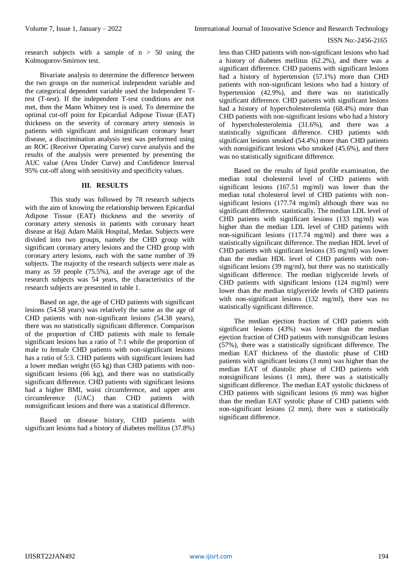research subjects with a sample of  $n > 50$  using the Kolmogorov-Smirnov test.

Bivariate analysis to determine the difference between the two groups on the numerical independent variable and the categorical dependent variable used the Independent Ttest (T-test). If the independent T-test conditions are not met, then the Mann Whitney test is used. To determine the optimal cut-off point for Epicardial Adipose Tissue (EAT) thickness on the severity of coronary artery stenosis in patients with significant and insignificant coronary heart disease, a discrimination analysis test was performed using an ROC (Receiver Operating Curve) curve analysis and the results of the analysis were presented by presenting the AUC value (Area Under Curve) and Confidence Interval 95% cut-off along with sensitivity and specificity values.

## **III. RESULTS**

This study was followed by 78 research subjects with the aim of knowing the relationship between Epicardial Adipose Tissue (EAT) thickness and the severity of coronary artery stenosis in patients with coronary heart disease at Haji Adam Malik Hospital, Medan. Subjects were divided into two groups, namely the CHD group with significant coronary artery lesions and the CHD group with coronary artery lesions, each with the same number of 39 subjects. The majority of the research subjects were male as many as 59 people (75.5%), and the average age of the research subjects was 54 years, the characteristics of the research subjects are presented in table 1.

Based on age, the age of CHD patients with significant lesions (54.58 years) was relatively the same as the age of CHD patients with non-significant lesions (54.38 years), there was no statistically significant difference. Comparison of the proportion of CHD patients with male to female significant lesions has a ratio of 7:1 while the proportion of male to female CHD patients with non-significant lesions has a ratio of 5:3. CHD patients with significant lesions had a lower median weight (65 kg) than CHD patients with nonsignificant lesions (66 kg), and there was no statistically significant difference. CHD patients with significant lesions had a higher BMI, waist circumference, and upper arm circumference (UAC) than CHD patients with nonsignificant lesions and there was a statistical difference.

Based on disease history, CHD patients with significant lesions had a history of diabetes mellitus (37.8%)

less than CHD patients with non-significant lesions who had a history of diabetes mellitus (62.2%), and there was a significant difference. CHD patients with significant lesions had a history of hypertension (57.1%) more than CHD patients with non-significant lesions who had a history of hypertension (42.9%), and there was no statistically significant difference. CHD patients with significant lesions had a history of hypercholesterolemia (68.4%) more than CHD patients with non-significant lesions who had a history of hypercholesterolemia (31.6%), and there was a statistically significant difference. CHD patients with significant lesions smoked (54.4%) more than CHD patients with nonsignificant lesions who smoked  $(45.6\%)$ , and there was no statistically significant difference.

Based on the results of lipid profile examination, the median total cholesterol level of CHD patients with significant lesions (167.51 mg/ml) was lower than the median total cholesterol level of CHD patients with nonsignificant lesions (177.74 mg/ml) although there was no significant difference. statistically. The median LDL level of CHD patients with significant lesions (133 mg/ml) was higher than the median LDL level of CHD patients with non-significant lesions (117.74 mg/ml) and there was a statistically significant difference. The median HDL level of CHD patients with significant lesions (35 mg/ml) was lower than the median HDL level of CHD patients with nonsignificant lesions (39 mg/ml), but there was no statistically significant difference. The median triglyceride levels of CHD patients with significant lesions (124 mg/ml) were lower than the median triglyceride levels of CHD patients with non-significant lesions (132 mg/ml), there was no statistically significant difference.

The median ejection fraction of CHD patients with significant lesions (43%) was lower than the median ejection fraction of CHD patients with nonsignificant lesions (57%), there was a statistically significant difference. The median EAT thickness of the diastolic phase of CHD patients with significant lesions (3 mm) was higher than the median EAT of diastolic phase of CHD patients with nonsignificant lesions (1 mm), there was a statistically significant difference. The median EAT systolic thickness of CHD patients with significant lesions (6 mm) was higher than the median EAT systolic phase of CHD patients with non-significant lesions (2 mm), there was a statistically significant difference.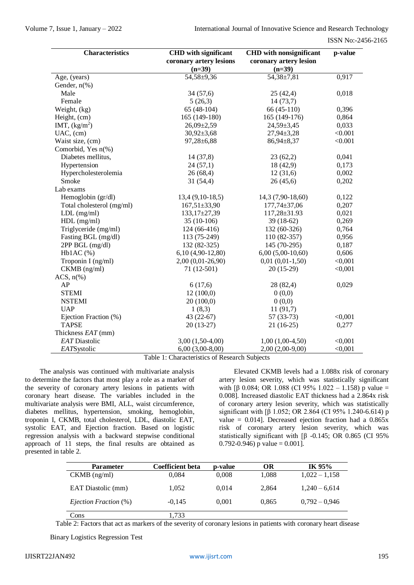| <b>Characteristics</b>    | <b>CHD</b> with significant<br>coronary artery lesions | <b>CHD</b> with nonsignificant<br>coronary artery lesion | p-value |  |
|---------------------------|--------------------------------------------------------|----------------------------------------------------------|---------|--|
|                           | $(n=39)$                                               | $(n=39)$                                                 |         |  |
| Age, (years)              | 54,58±9,36                                             | 54,38±7,81                                               | 0,917   |  |
| Gender, $n$ (%)           |                                                        |                                                          |         |  |
| Male                      | 34(57,6)                                               | 25(42,4)                                                 | 0,018   |  |
| Female                    | 5(26,3)                                                | 14(73,7)                                                 |         |  |
| Weight, (kg)              | 65 (48-104)                                            | 66 (45-110)                                              | 0,396   |  |
| Height, (cm)              | 165 (149-180)                                          | 165 (149-176)                                            | 0,864   |  |
| IMT, $(kg/m2)$            | $26,09\pm2,59$                                         | $24,59 \pm 3,45$                                         | 0,033   |  |
| $UAC$ , $(cm)$            | $30,92 \pm 3,68$                                       | 27,94±3,28                                               | < 0.001 |  |
| Waist size, (cm)          | $97,28 \pm 6,88$                                       | 86,94±8,37                                               | < 0.001 |  |
| Comorbid, Yes n(%)        |                                                        |                                                          |         |  |
| Diabetes mellitus,        | 14(37,8)                                               | 23(62,2)                                                 | 0,041   |  |
| Hypertension              | 24(57,1)                                               | 18 (42,9)                                                | 0,173   |  |
| Hypercholesterolemia      | 26(68,4)                                               | 12(31,6)                                                 | 0,002   |  |
| Smoke                     | 31(54,4)                                               | 26(45,6)                                                 | 0,202   |  |
| Lab exams                 |                                                        |                                                          |         |  |
| Hemoglobin (gr/dl)        | $13,4(9,10-18,5)$                                      | 14,3 (7,90-18,60)                                        | 0,122   |  |
| Total cholesterol (mg/ml) | $167,51\pm33,90$                                       | $177,74 \pm 37,06$                                       | 0,207   |  |
| $LDL$ (mg/ml)             | $133,17\pm27,39$                                       | 117,28±31.93                                             | 0,021   |  |
| $HDL$ (mg/ml)             | $35(10-106)$                                           | 39 (18-62)                                               | 0,269   |  |
| Triglyceride (mg/ml)      | 124 (66-416)                                           | 132 (60-326)                                             | 0,764   |  |
| Fasting BGL (mg/dl)       | 113 (75-249)                                           | 110 (82-357)                                             | 0,956   |  |
| 2PP BGL (mg/dl)           | 132 (82-325)                                           | 145 (70-295)                                             | 0,187   |  |
| $Hb1AC$ (%)               | $6,10(4,90-12,80)$                                     | $6,00(5,00-10,60)$                                       | 0,606   |  |
| Troponin I (ng/ml)        | 2,00 (0,01-26,90)                                      | $0,01(0,01-1,50)$                                        | < 0,001 |  |
| CKMB (ng/ml)              | 71 (12-501)                                            | $20(15-29)$                                              | < 0,001 |  |
| ACS, $n\%$                |                                                        |                                                          |         |  |
| AP                        | 6(17,6)                                                | 28 (82,4)                                                | 0,029   |  |
| <b>STEMI</b>              | 12(100,0)                                              | 0(0,0)                                                   |         |  |
| <b>NSTEMI</b>             | 20(100,0)                                              | 0(0,0)                                                   |         |  |
| <b>UAP</b>                | 1(8,3)                                                 | 11(91,7)                                                 |         |  |
| Ejection Fraction (%)     | 43 (22-67)                                             | $57(33-73)$                                              | < 0.001 |  |
| <b>TAPSE</b>              | $20(13-27)$                                            | $21(16-25)$                                              | 0,277   |  |
| Thickness EAT (mm)        |                                                        |                                                          |         |  |
| EAT Diastolic             | $3,00(1,50-4,00)$                                      | $1,00(1,00-4,50)$                                        | < 0,001 |  |
| EATSystolic               | $6,00(3,00-8,00)$                                      | $2,00(2,00-9,00)$                                        | < 0,001 |  |

Table 1: Characteristics of Research Subjects

The analysis was continued with multivariate analysis to determine the factors that most play a role as a marker of the severity of coronary artery lesions in patients with coronary heart disease. The variables included in the multivariate analysis were BMI, ALL, waist circumference, diabetes mellitus, hypertension, smoking, hemoglobin, troponin I, CKMB, total cholesterol, LDL, diastolic EAT, systolic EAT, and Ejection fraction. Based on logistic regression analysis with a backward stepwise conditional approach of 11 steps, the final results are obtained as presented in table 2.

Elevated CKMB levels had a 1.088x risk of coronary artery lesion severity, which was statistically significant with [β 0.084; OR 1.088 (CI 95% 1.022 – 1.158) p value = 0.008]. Increased diastolic EAT thickness had a 2.864x risk of coronary artery lesion severity, which was statistically significant with [β 1.052; OR 2.864 (CI 95% 1.240-6.614) p value =  $0.014$ ]. Decreased ejection fraction had a  $0.865x$ risk of coronary artery lesion severity, which was statistically significant with [β -0.145; OR 0.865 (CI 95%  $0.792 - 0.946$ ) p value =  $0.001$ ].

| <b>Parameter</b>             | Coefficient beta | p-value | OR    | IK 95%          |
|------------------------------|------------------|---------|-------|-----------------|
| $CKMB$ (ng/ml)               | 0.084            | 0.008   | 1.088 | $1,022 - 1,158$ |
| EAT Diastolic (mm)           | 1.052            | 0.014   | 2.864 | $1,240 - 6,614$ |
| <i>Ejection Fraction</i> (%) | $-0.145$         | 0,001   | 0.865 | $0,792 - 0,946$ |
| Cons                         | 1.733            |         |       |                 |

Table 2: Factors that act as markers of the severity of coronary lesions in patients with coronary heart disease

Binary Logistics Regression Test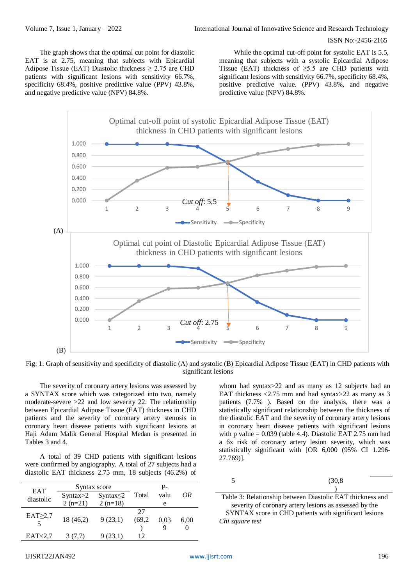The graph shows that the optimal cut point for diastolic EAT is at 2.75, meaning that subjects with Epicardial Adipose Tissue (EAT) Diastolic thickness  $\geq$  2.75 are CHD patients with significant lesions with sensitivity 66.7%, specificity 68.4%, positive predictive value (PPV) 43.8%, and negative predictive value (NPV) 84.8%.

While the optimal cut-off point for systolic EAT is 5.5, meaning that subjects with a systolic Epicardial Adipose Tissue (EAT) thickness of  $\geq$ 5.5 are CHD patients with significant lesions with sensitivity 66.7%, specificity 68.4%, positive predictive value. (PPV) 43.8%, and negative predictive value (NPV) 84.8%.





The severity of coronary artery lesions was assessed by a SYNTAX score which was categorized into two, namely moderate-severe >22 and low severity 22. The relationship between Epicardial Adipose Tissue (EAT) thickness in CHD patients and the severity of coronary artery stenosis in coronary heart disease patients with significant lesions at Haji Adam Malik General Hospital Medan is presented in Tables 3 and 4.

A total of 39 CHD patients with significant lesions were confirmed by angiography. A total of 27 subjects had a diastolic EAT thickness 2.75 mm, 18 subjects (46.2%) of

| <b>EAT</b>     | Syntax score |                 |        | $P_{-}$ |      |
|----------------|--------------|-----------------|--------|---------|------|
| diastolic      | Syntax>2     | Syntax $\leq$ 2 | Total  | valu    | ΟR   |
|                | $2(n=21)$    | $2(n=18)$       |        | e       |      |
| $EAT \geq 2.7$ |              |                 | 27     |         |      |
|                | 18 (46,2)    | 9(23,1)         | (69,2) | 0.03    | 6,00 |
|                |              |                 |        | Q       |      |
| EAT < 2.7      | 3 (7.7)      | 9 (23,1)        | 12     |         |      |

whom had syntax>22 and as many as 12 subjects had an EAT thickness  $\langle 2.75 \text{ mm}$  and had syntax $>$ 22 as many as 3 patients (7.7% ). Based on the analysis, there was a statistically significant relationship between the thickness of the diastolic EAT and the severity of coronary artery lesions in coronary heart disease patients with significant lesions with p value  $= 0.039$  (table 4.4). Diastolic EAT 2.75 mm had a 6x risk of coronary artery lesion severity, which was statistically significant with [OR 6,000 (95% CI 1.296- 27.769)].

| $\overline{\phantom{0}}$<br>$\ddot{\phantom{1}}$<br>◡ | (30, 8) |
|-------------------------------------------------------|---------|
|                                                       |         |

Table 3: Relationship between Diastolic EAT thickness and severity of coronary artery lesions as assessed by the SYNTAX score in CHD patients with significant lesions *Chi square test*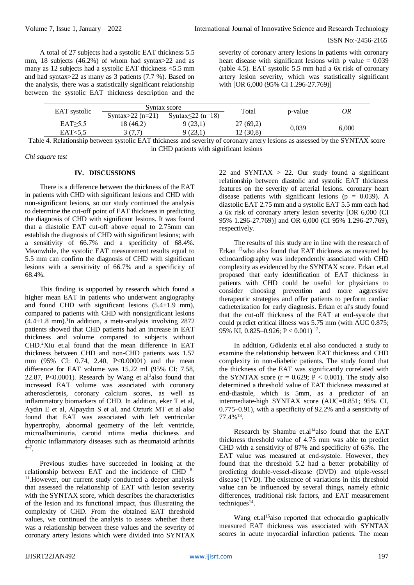A total of 27 subjects had a systolic EAT thickness 5.5 mm, 18 subjects (46.2%) of whom had syntax>22 and as many as 12 subjects had a systolic EAT thickness <5.5 mm and had syntax>22 as many as 3 patients (7.7 %). Based on the analysis, there was a statistically significant relationship between the systolic EAT thickness description and the

severity of coronary artery lesions in patients with coronary heart disease with significant lesions with  $p$  value = 0.039 (table 4.5). EAT systolic 5.5 mm had a 6x risk of coronary artery lesion severity, which was statistically significant with [OR 6,000 (95% CI 1.296-27.769)]

|               | Syntax score         |                         | Total    |         |       |
|---------------|----------------------|-------------------------|----------|---------|-------|
| EAT systolic  | Syntax $>$ 22 (n=21) | Syntax $\leq$ 22 (n=18) |          | p-value | OR    |
| $EAT \ge 5.5$ | 18 (46,2)            | 9 (23,1)                | 27(69,2) | 0.039   | 6,000 |
| EAT<5.5       | 3 (7.7)              | 9 (23,1                 | 12(30,8) |         |       |

Table 4. Relationship between systolic EAT thickness and severity of coronary artery lesions as assessed by the SYNTAX score in CHD patients with significant lesions

*Chi square test*

## **IV. DISCUSSIONS**

There is a difference between the thickness of the EAT in patients with CHD with significant lesions and CHD with non-significant lesions, so our study continued the analysis to determine the cut-off point of EAT thickness in predicting the diagnosis of CHD with significant lesions. It was found that a diastolic EAT cut-off above equal to 2.75mm can establish the diagnosis of CHD with significant lesions; with a sensitivity of 66.7% and a specificity of 68.4%. Meanwhile, the systolic EAT measurement results equal to 5.5 mm can confirm the diagnosis of CHD with significant lesions with a sensitivity of 66.7% and a specificity of 68.4%.

This finding is supported by research which found a higher mean EAT in patients who underwent angiography and found CHD with significant lesions  $(5.4 \pm 1.9 \text{ mm})$ , compared to patients with CHD with nonsignificant lesions  $(4.4 \pm 1.8 \text{ mm})$ .<sup>1</sup>In addition, a meta-analysis involving 2872 patients showed that CHD patients had an increase in EAT thickness and volume compared to subjects without CHD.<sup>2</sup>Xiu et.al found that the mean difference in EAT thickness between CHD and non-CHD patients was 1.57 mm (95% CI: 0.74, 2.40, P<0.00001) and the mean difference for EAT volume was 15.22 ml (95% CI: 7.58, 22.87, P<0.0001). Research by Wang et al<sup>3</sup>also found that increased EAT volume was associated with coronary atherosclerosis, coronary calcium scores, as well as inflammatory biomarkers of CHD. In addition, eker T et al, Aydın E et al, Alpaydın S et al, and Ozturk MT et al also found that EAT was associated with left ventricular hypertrophy, abnormal geometry of the left ventricle, microalbuminuria, carotid intima media thickness and chronic inflammatory diseases such as rheumatoid arthritis  $^{4-7}$ .

Previous studies have succeeded in looking at the relationship between EAT and the incidence of CHD 8– 11 .However, our current study conducted a deeper analysis that assessed the relationship of EAT with lesion severity with the SYNTAX score, which describes the characteristics of the lesion and its functional impact, thus illustrating the complexity of CHD. From the obtained EAT threshold values, we continued the analysis to assess whether there was a relationship between these values and the severity of coronary artery lesions which were divided into SYNTAX

22 and SYNTAX  $> 22$ . Our study found a significant relationship between diastolic and systolic EAT thickness features on the severity of arterial lesions. coronary heart disease patients with significant lesions ( $p = 0.039$ ). A diastolic EAT 2.75 mm and a systolic EAT 5.5 mm each had a 6x risk of coronary artery lesion severity [OR 6,000 (CI 95% 1.296-27.769)] and OR 6,000 (CI 95% 1.296-27.769), respectively.

The results of this study are in line with the research of Erkan <sup>12</sup>who also found that EAT thickness as measured by echocardiography was independently associated with CHD complexity as evidenced by the SYNTAX score. Erkan et.al proposed that early identification of EAT thickness in patients with CHD could be useful for physicians to consider choosing prevention and more aggressive therapeutic strategies and offer patients to perform cardiac catheterization for early diagnosis. Erkan et al's study found that the cut-off thickness of the EAT at end-systole that could predict critical illness was 5.75 mm (with AUC 0.875; 95% KI, 0.825–0.926; P < 0.001) <sup>12</sup>.

In addition, Gökdeniz et.al also conducted a study to examine the relationship between EAT thickness and CHD complexity in non-diabetic patients. The study found that the thickness of the EAT was significantly correlated with the SYNTAX score ( $r = 0.629$ ;  $P < 0.001$ ). The study also determined a threshold value of EAT thickness measured at end-diastole, which is 5mm, as a predictor of an intermediate-high SYNTAX score (AUC=0.851; 95% CI, 0.775–0.91), with a specificity of 92.2% and a sensitivity of  $77.4\%$ <sup>13</sup>.

Research by Shambu et.al<sup>14</sup>also found that the EAT thickness threshold value of 4.75 mm was able to predict CHD with a sensitivity of 87% and specificity of 63%. The EAT value was measured at end-systole. However, they found that the threshold 5.2 had a better probability of predicting double-vessel-disease (DVD) and triple-vessel disease (TVD). The existence of variations in this threshold value can be influenced by several things, namely ethnic differences, traditional risk factors, and EAT measurement  $techniques<sup>14</sup>$ .

Wang et.al<sup>15</sup>also reported that echocardio graphically measured EAT thickness was associated with SYNTAX scores in acute myocardial infarction patients. The mean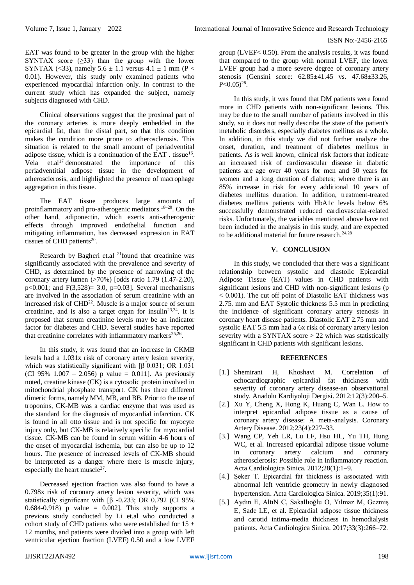EAT was found to be greater in the group with the higher SYNTAX score  $(≥33)$  than the group with the lower SYNTAX (<33), namely  $5.6 \pm 1.1$  versus  $4.1 \pm 1$  mm (P < 0.01). However, this study only examined patients who experienced myocardial infarction only. In contrast to the current study which has expanded the subject, namely subjects diagnosed with CHD.

Clinical observations suggest that the proximal part of the coronary arteries is more deeply embedded in the epicardial fat, than the distal part, so that this condition makes the condition more prone to atherosclerosis. This situation is related to the small amount of periadventital adipose tissue, which is a continuation of the EAT . tissue<sup>16</sup>. Vela et.al<sup>17</sup> demonstrated the importance of this periadventitial adipose tissue in the development of atherosclerosis, and highlighted the presence of macrophage aggregation in this tissue.

The EAT tissue produces large amounts of proinflammatory and pro-atherogenic mediators.<sup>18-20</sup>. On the other hand, adiponectin, which exerts anti-atherogenic effects through improved endothelial function and mitigating inflammation, has decreased expression in EAT tissues of CHD patients<sup>20</sup>.

Research by Bagheri et.al  $^{21}$ found that creatinine was significantly associated with the prevalence and severity of CHD, as determined by the presence of narrowing of the coronary artery lumen (>70%) [odds ratio 1.79 (1.47-2.20), p<0.001; and  $F(3,528) = 3.0$ , p=0.03]. Several mechanisms are involved in the association of serum creatinine with an increased risk of  $CHD<sup>22</sup>$ . Muscle is a major source of serum creatinine, and is also a target organ for insulin<sup>23,24</sup>. It is proposed that serum creatinine levels may be an indicator factor for diabetes and CHD. Several studies have reported that creatinine correlates with inflammatory markers $25,26$ .

In this study, it was found that an increase in CKMB levels had a 1.031x risk of coronary artery lesion severity, which was statistically significant with [β 0.031; OR 1.031] (CI 95%  $1.007 - 2.056$ ) p value = 0.011]. As previously noted, creatine kinase (CK) is a cytosolic protein involved in mitochondrial phosphate transport. CK has three different dimeric forms, namely MM, MB, and BB. Prior to the use of troponins, CK-MB was a cardiac enzyme that was used as the standard for the diagnosis of myocardial infarction. CK is found in all otto tissue and is not specific for myocyte injury only, but CK-MB is relatively specific for myocardial tissue. CK-MB can be found in serum within 4-6 hours of the onset of myocardial ischemia, but can also be up to 12 hours. The presence of increased levels of CK-MB should be interpreted as a danger where there is muscle injury, especially the heart muscle<sup>27</sup>.

Decreased ejection fraction was also found to have a 0.798x risk of coronary artery lesion severity, which was statistically significant with [β -0.233; OR 0.792 (CI 95% 0.684-0.918) p value =  $0.002$ . This study supports a previous study conducted by Li et.al who conducted a cohort study of CHD patients who were established for  $15 \pm$ 12 months, and patients were divided into a group with left ventricular ejection fraction (LVEF) 0.50 and a low LVEF

group (LVEF< 0.50). From the analysis results, it was found that compared to the group with normal LVEF, the lower LVEF group had a more severe degree of coronary artery stenosis (Gensini score: 62.85±41.45 vs. 47.68±33.26,  $P<0.05)^{28}$ .

In this study, it was found that DM patients were found more in CHD patients with non-significant lesions. This may be due to the small number of patients involved in this study, so it does not really describe the state of the patient's metabolic disorders, especially diabetes mellitus as a whole. In addition, in this study we did not further analyze the onset, duration, and treatment of diabetes mellitus in patients. As is well known, clinical risk factors that indicate an increased risk of cardiovascular disease in diabetic patients are age over 40 years for men and 50 years for women and a long duration of diabetes; where there is an 85% increase in risk for every additional 10 years of diabetes mellitus duration. In addition, treatment-treated diabetes mellitus patients with HbA1c levels below 6% successfully demonstrated reduced cardiovascular-related risks. Unfortunately, the variables mentioned above have not been included in the analysis in this study, and are expected to be additional material for future research. $24,28$ 

## **V. CONCLUSION**

In this study, we concluded that there was a significant relationship between systolic and diastolic Epicardial Adipose Tissue (EAT) values in CHD patients with significant lesions and CHD with non-significant lesions (p < 0.001). The cut off point of Diastolic EAT thickness was 2.75. mm and EAT Systolic thickness 5.5 mm in predicting the incidence of significant coronary artery stenosis in coronary heart disease patients. Diastolic EAT 2.75 mm and systolic EAT 5.5 mm had a 6x risk of coronary artery lesion severity with a SYNTAX score > 22 which was statistically significant in CHD patients with significant lesions.

## **REFERENCES**

- [1.] Shemirani H, Khoshavi M. Correlation of echocardiographic epicardial fat thickness with severity of coronary artery disease-an observational study. Anadolu Kardiyoloji Dergisi. 2012;12(3):200–5.
- [2.] Xu Y, Cheng X, Hong K, Huang C, Wan L. How to interpret epicardial adipose tissue as a cause of coronary artery disease: A meta-analysis. Coronary Artery Disease. 2012;23(4):227–33.
- [3.] Wang CP, Yeh LR, Lu LF, Hsu HL, Yu TH, Hung WC, et al. Increased epicardial adipose tissue volume in coronary artery calcium and coronary atherosclerosis: Possible role in inflammatory reaction. Acta Cardiologica Sinica. 2012;28(1):1–9.
- [4.] Şeker T. Epicardial fat thickness is associated with abnormal left ventricle geometry in newly diagnosed hypertension. Acta Cardiologica Sinica. 2019;35(1):91.
- [5.] Aydın E, AltıN C, Sakallıoğlu O, Yılmaz M, Gezmiş E, Sade LE, et al. Epicardial adipose tissue thickness and carotid intima-media thickness in hemodialysis patients. Acta Cardiologica Sinica. 2017;33(3):266–72.